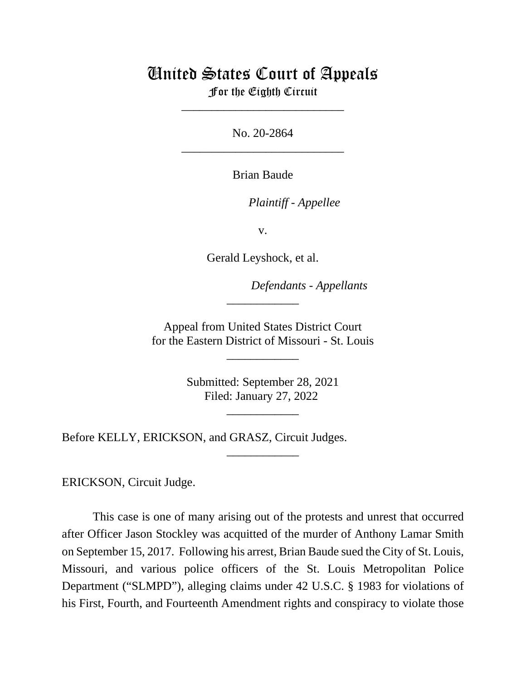# United States Court of Appeals

For the Eighth Circuit \_\_\_\_\_\_\_\_\_\_\_\_\_\_\_\_\_\_\_\_\_\_\_\_\_\_\_

No. 20-2864 \_\_\_\_\_\_\_\_\_\_\_\_\_\_\_\_\_\_\_\_\_\_\_\_\_\_\_

Brian Baude

*Plaintiff - Appellee*

v.

Gerald Leyshock, et al.

*Defendants - Appellants* 

Appeal from United States District Court for the Eastern District of Missouri - St. Louis

\_\_\_\_\_\_\_\_\_\_\_\_

\_\_\_\_\_\_\_\_\_\_\_\_

Submitted: September 28, 2021 Filed: January 27, 2022

\_\_\_\_\_\_\_\_\_\_\_\_

\_\_\_\_\_\_\_\_\_\_\_\_

Before KELLY, ERICKSON, and GRASZ, Circuit Judges.

ERICKSON, Circuit Judge.

This case is one of many arising out of the protests and unrest that occurred after Officer Jason Stockley was acquitted of the murder of Anthony Lamar Smith on September 15, 2017. Following his arrest, Brian Baude sued the City of St. Louis, Missouri, and various police officers of the St. Louis Metropolitan Police Department ("SLMPD"), alleging claims under 42 U.S.C. § 1983 for violations of his First, Fourth, and Fourteenth Amendment rights and conspiracy to violate those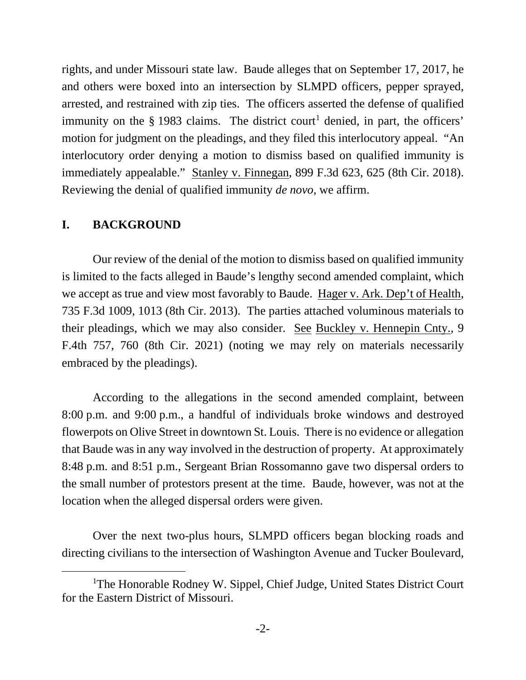rights, and under Missouri state law. Baude alleges that on September 17, 2017, he and others were boxed into an intersection by SLMPD officers, pepper sprayed, arrested, and restrained with zip ties. The officers asserted the defense of qualified immunity on the  $\S$  [1](#page-1-0)983 claims. The district court<sup>1</sup> denied, in part, the officers' motion for judgment on the pleadings, and they filed this interlocutory appeal. "An interlocutory order denying a motion to dismiss based on qualified immunity is immediately appealable." Stanley v. Finnegan, 899 F.3d 623, 625 (8th Cir. 2018). Reviewing the denial of qualified immunity *de novo*, we affirm.

### **I. BACKGROUND**

Our review of the denial of the motion to dismiss based on qualified immunity is limited to the facts alleged in Baude's lengthy second amended complaint, which we accept as true and view most favorably to Baude. Hager v. Ark. Dep't of Health, 735 F.3d 1009, 1013 (8th Cir. 2013). The parties attached voluminous materials to their pleadings, which we may also consider. See Buckley v. Hennepin Cnty., 9 F.4th 757, 760 (8th Cir. 2021) (noting we may rely on materials necessarily embraced by the pleadings).

According to the allegations in the second amended complaint, between 8:00 p.m. and 9:00 p.m., a handful of individuals broke windows and destroyed flowerpots on Olive Street in downtown St. Louis. There is no evidence or allegation that Baude was in any way involved in the destruction of property. At approximately 8:48 p.m. and 8:51 p.m., Sergeant Brian Rossomanno gave two dispersal orders to the small number of protestors present at the time. Baude, however, was not at the location when the alleged dispersal orders were given.

Over the next two-plus hours, SLMPD officers began blocking roads and directing civilians to the intersection of Washington Avenue and Tucker Boulevard,

<span id="page-1-0"></span><sup>&</sup>lt;sup>1</sup>The Honorable Rodney W. Sippel, Chief Judge, United States District Court for the Eastern District of Missouri.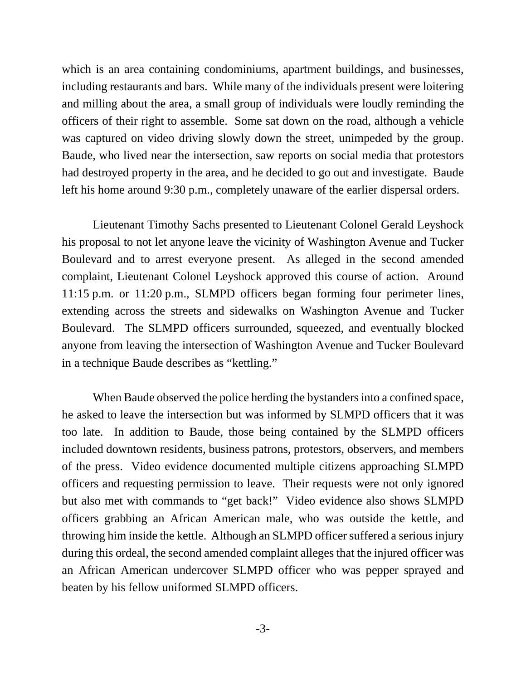which is an area containing condominiums, apartment buildings, and businesses, including restaurants and bars. While many of the individuals present were loitering and milling about the area, a small group of individuals were loudly reminding the officers of their right to assemble. Some sat down on the road, although a vehicle was captured on video driving slowly down the street, unimpeded by the group. Baude, who lived near the intersection, saw reports on social media that protestors had destroyed property in the area, and he decided to go out and investigate. Baude left his home around 9:30 p.m., completely unaware of the earlier dispersal orders.

Lieutenant Timothy Sachs presented to Lieutenant Colonel Gerald Leyshock his proposal to not let anyone leave the vicinity of Washington Avenue and Tucker Boulevard and to arrest everyone present. As alleged in the second amended complaint, Lieutenant Colonel Leyshock approved this course of action. Around 11:15 p.m. or 11:20 p.m., SLMPD officers began forming four perimeter lines, extending across the streets and sidewalks on Washington Avenue and Tucker Boulevard. The SLMPD officers surrounded, squeezed, and eventually blocked anyone from leaving the intersection of Washington Avenue and Tucker Boulevard in a technique Baude describes as "kettling."

When Baude observed the police herding the bystanders into a confined space, he asked to leave the intersection but was informed by SLMPD officers that it was too late. In addition to Baude, those being contained by the SLMPD officers included downtown residents, business patrons, protestors, observers, and members of the press. Video evidence documented multiple citizens approaching SLMPD officers and requesting permission to leave. Their requests were not only ignored but also met with commands to "get back!" Video evidence also shows SLMPD officers grabbing an African American male, who was outside the kettle, and throwing him inside the kettle. Although an SLMPD officer suffered a serious injury during this ordeal, the second amended complaint alleges that the injured officer was an African American undercover SLMPD officer who was pepper sprayed and beaten by his fellow uniformed SLMPD officers.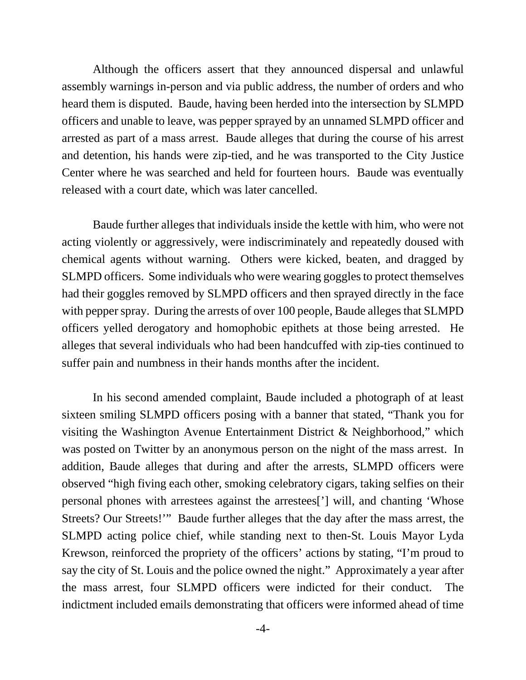Although the officers assert that they announced dispersal and unlawful assembly warnings in-person and via public address, the number of orders and who heard them is disputed. Baude, having been herded into the intersection by SLMPD officers and unable to leave, was pepper sprayed by an unnamed SLMPD officer and arrested as part of a mass arrest. Baude alleges that during the course of his arrest and detention, his hands were zip-tied, and he was transported to the City Justice Center where he was searched and held for fourteen hours. Baude was eventually released with a court date, which was later cancelled.

Baude further alleges that individuals inside the kettle with him, who were not acting violently or aggressively, were indiscriminately and repeatedly doused with chemical agents without warning. Others were kicked, beaten, and dragged by SLMPD officers. Some individuals who were wearing goggles to protect themselves had their goggles removed by SLMPD officers and then sprayed directly in the face with pepper spray. During the arrests of over 100 people, Baude alleges that SLMPD officers yelled derogatory and homophobic epithets at those being arrested. He alleges that several individuals who had been handcuffed with zip-ties continued to suffer pain and numbness in their hands months after the incident.

In his second amended complaint, Baude included a photograph of at least sixteen smiling SLMPD officers posing with a banner that stated, "Thank you for visiting the Washington Avenue Entertainment District & Neighborhood," which was posted on Twitter by an anonymous person on the night of the mass arrest. In addition, Baude alleges that during and after the arrests, SLMPD officers were observed "high fiving each other, smoking celebratory cigars, taking selfies on their personal phones with arrestees against the arrestees['] will, and chanting 'Whose Streets? Our Streets!'" Baude further alleges that the day after the mass arrest, the SLMPD acting police chief, while standing next to then-St. Louis Mayor Lyda Krewson, reinforced the propriety of the officers' actions by stating, "I'm proud to say the city of St. Louis and the police owned the night." Approximately a year after the mass arrest, four SLMPD officers were indicted for their conduct. The indictment included emails demonstrating that officers were informed ahead of time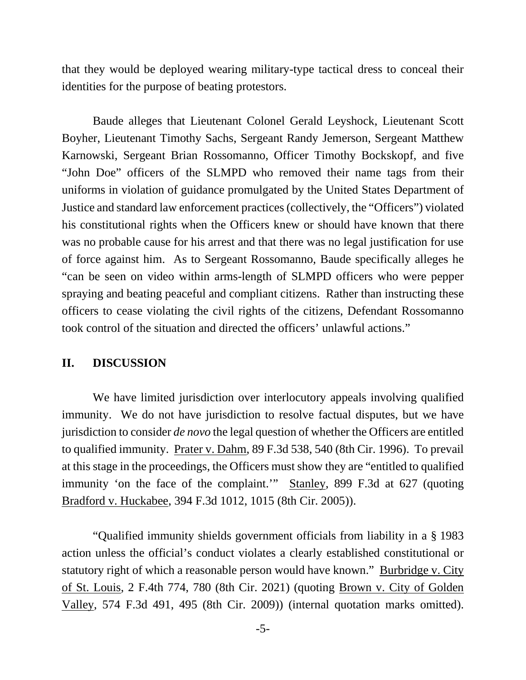that they would be deployed wearing military-type tactical dress to conceal their identities for the purpose of beating protestors.

Baude alleges that Lieutenant Colonel Gerald Leyshock, Lieutenant Scott Boyher, Lieutenant Timothy Sachs, Sergeant Randy Jemerson, Sergeant Matthew Karnowski, Sergeant Brian Rossomanno, Officer Timothy Bockskopf, and five "John Doe" officers of the SLMPD who removed their name tags from their uniforms in violation of guidance promulgated by the United States Department of Justice and standard law enforcement practices (collectively, the "Officers") violated his constitutional rights when the Officers knew or should have known that there was no probable cause for his arrest and that there was no legal justification for use of force against him. As to Sergeant Rossomanno, Baude specifically alleges he "can be seen on video within arms-length of SLMPD officers who were pepper spraying and beating peaceful and compliant citizens. Rather than instructing these officers to cease violating the civil rights of the citizens, Defendant Rossomanno took control of the situation and directed the officers' unlawful actions."

#### **II. DISCUSSION**

We have limited jurisdiction over interlocutory appeals involving qualified immunity. We do not have jurisdiction to resolve factual disputes, but we have jurisdiction to consider *de novo* the legal question of whether the Officers are entitled to qualified immunity. Prater v. Dahm, 89 F.3d 538, 540 (8th Cir. 1996). To prevail at this stage in the proceedings, the Officers must show they are "entitled to qualified immunity 'on the face of the complaint.'" Stanley, 899 F.3d at 627 (quoting Bradford v. Huckabee, 394 F.3d 1012, 1015 (8th Cir. 2005)).

 "Qualified immunity shields government officials from liability in a § 1983 action unless the official's conduct violates a clearly established constitutional or statutory right of which a reasonable person would have known." Burbridge v. City of St. Louis, 2 F.4th 774, 780 (8th Cir. 2021) (quoting Brown v. City of Golden Valley, 574 F.3d 491, 495 (8th Cir. 2009)) (internal quotation marks omitted).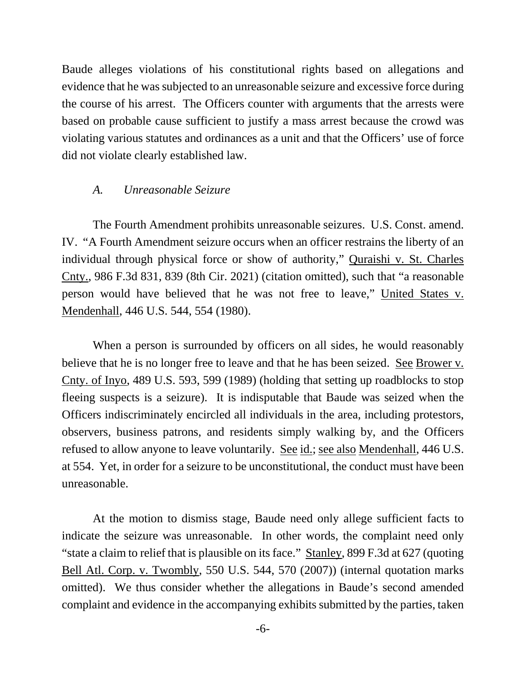Baude alleges violations of his constitutional rights based on allegations and evidence that he was subjected to an unreasonable seizure and excessive force during the course of his arrest. The Officers counter with arguments that the arrests were based on probable cause sufficient to justify a mass arrest because the crowd was violating various statutes and ordinances as a unit and that the Officers' use of force did not violate clearly established law.

#### *A. Unreasonable Seizure*

The Fourth Amendment prohibits unreasonable seizures. U.S. Const. amend. IV. "A Fourth Amendment seizure occurs when an officer restrains the liberty of an individual through physical force or show of authority," Quraishi v. St. Charles Cnty., 986 F.3d 831, 839 (8th Cir. 2021) (citation omitted), such that "a reasonable person would have believed that he was not free to leave," United States v. Mendenhall, 446 U.S. 544, 554 (1980).

When a person is surrounded by officers on all sides, he would reasonably believe that he is no longer free to leave and that he has been seized. <u>See Brower v.</u> Cnty. of Inyo, 489 U.S. 593, 599 (1989) (holding that setting up roadblocks to stop fleeing suspects is a seizure). It is indisputable that Baude was seized when the Officers indiscriminately encircled all individuals in the area, including protestors, observers, business patrons, and residents simply walking by, and the Officers refused to allow anyone to leave voluntarily. See id.; see also Mendenhall, 446 U.S. at 554. Yet, in order for a seizure to be unconstitutional, the conduct must have been unreasonable.

At the motion to dismiss stage, Baude need only allege sufficient facts to indicate the seizure was unreasonable. In other words, the complaint need only "state a claim to relief that is plausible on its face." Stanley, 899 F.3d at 627 (quoting Bell Atl. Corp. v. Twombly, 550 U.S. 544, 570 (2007)) (internal quotation marks omitted). We thus consider whether the allegations in Baude's second amended complaint and evidence in the accompanying exhibits submitted by the parties, taken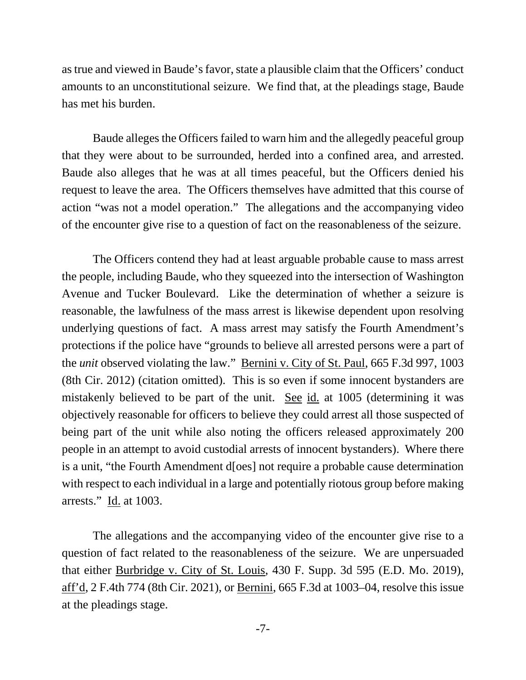as true and viewed in Baude's favor, state a plausible claim that the Officers' conduct amounts to an unconstitutional seizure. We find that, at the pleadings stage, Baude has met his burden.

Baude alleges the Officers failed to warn him and the allegedly peaceful group that they were about to be surrounded, herded into a confined area, and arrested. Baude also alleges that he was at all times peaceful, but the Officers denied his request to leave the area. The Officers themselves have admitted that this course of action "was not a model operation." The allegations and the accompanying video of the encounter give rise to a question of fact on the reasonableness of the seizure.

The Officers contend they had at least arguable probable cause to mass arrest the people, including Baude, who they squeezed into the intersection of Washington Avenue and Tucker Boulevard. Like the determination of whether a seizure is reasonable, the lawfulness of the mass arrest is likewise dependent upon resolving underlying questions of fact. A mass arrest may satisfy the Fourth Amendment's protections if the police have "grounds to believe all arrested persons were a part of the *unit* observed violating the law." Bernini v. City of St. Paul, 665 F.3d 997, 1003 (8th Cir. 2012) (citation omitted). This is so even if some innocent bystanders are mistakenly believed to be part of the unit. See id. at 1005 (determining it was objectively reasonable for officers to believe they could arrest all those suspected of being part of the unit while also noting the officers released approximately 200 people in an attempt to avoid custodial arrests of innocent bystanders). Where there is a unit, "the Fourth Amendment d[oes] not require a probable cause determination with respect to each individual in a large and potentially riotous group before making arrests." Id. at 1003.

The allegations and the accompanying video of the encounter give rise to a question of fact related to the reasonableness of the seizure. We are unpersuaded that either Burbridge v. City of St. Louis, 430 F. Supp. 3d 595 (E.D. Mo. 2019), aff'd, 2 F.4th 774 (8th Cir. 2021), or Bernini, 665 F.3d at 1003–04, resolve this issue at the pleadings stage.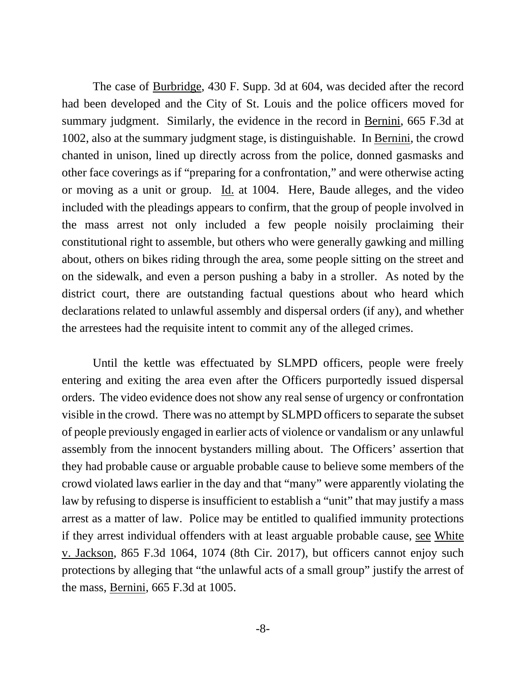The case of Burbridge, 430 F. Supp. 3d at 604, was decided after the record had been developed and the City of St. Louis and the police officers moved for summary judgment. Similarly, the evidence in the record in Bernini, 665 F.3d at 1002, also at the summary judgment stage, is distinguishable. In Bernini, the crowd chanted in unison, lined up directly across from the police, donned gasmasks and other face coverings as if "preparing for a confrontation," and were otherwise acting or moving as a unit or group. Id. at 1004. Here, Baude alleges, and the video included with the pleadings appears to confirm, that the group of people involved in the mass arrest not only included a few people noisily proclaiming their constitutional right to assemble, but others who were generally gawking and milling about, others on bikes riding through the area, some people sitting on the street and on the sidewalk, and even a person pushing a baby in a stroller. As noted by the district court, there are outstanding factual questions about who heard which declarations related to unlawful assembly and dispersal orders (if any), and whether the arrestees had the requisite intent to commit any of the alleged crimes.

Until the kettle was effectuated by SLMPD officers, people were freely entering and exiting the area even after the Officers purportedly issued dispersal orders. The video evidence does not show any real sense of urgency or confrontation visible in the crowd. There was no attempt by SLMPD officers to separate the subset of people previously engaged in earlier acts of violence or vandalism or any unlawful assembly from the innocent bystanders milling about. The Officers' assertion that they had probable cause or arguable probable cause to believe some members of the crowd violated laws earlier in the day and that "many" were apparently violating the law by refusing to disperse is insufficient to establish a "unit" that may justify a mass arrest as a matter of law. Police may be entitled to qualified immunity protections if they arrest individual offenders with at least arguable probable cause, see White v. Jackson, 865 F.3d 1064, 1074 (8th Cir. 2017), but officers cannot enjoy such protections by alleging that "the unlawful acts of a small group" justify the arrest of the mass, Bernini, 665 F.3d at 1005.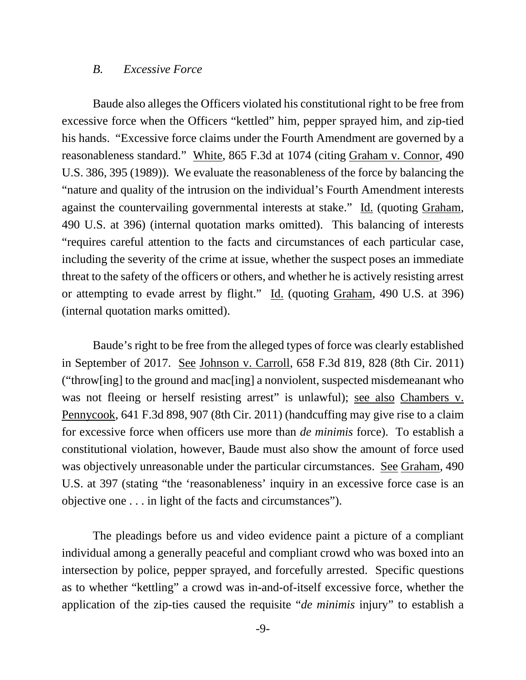#### *B. Excessive Force*

Baude also alleges the Officers violated his constitutional right to be free from excessive force when the Officers "kettled" him, pepper sprayed him, and zip-tied his hands. "Excessive force claims under the Fourth Amendment are governed by a reasonableness standard." White, 865 F.3d at 1074 (citing Graham v. Connor, 490 U.S. 386, 395 (1989)). We evaluate the reasonableness of the force by balancing the "nature and quality of the intrusion on the individual's Fourth Amendment interests against the countervailing governmental interests at stake." Id. (quoting Graham, 490 U.S. at 396) (internal quotation marks omitted). This balancing of interests "requires careful attention to the facts and circumstances of each particular case, including the severity of the crime at issue, whether the suspect poses an immediate threat to the safety of the officers or others, and whether he is actively resisting arrest or attempting to evade arrest by flight." Id. (quoting Graham, 490 U.S. at 396) (internal quotation marks omitted).

Baude's right to be free from the alleged types of force was clearly established in September of 2017. See Johnson v. Carroll, 658 F.3d 819, 828 (8th Cir. 2011) ("throw[ing] to the ground and mac[ing] a nonviolent, suspected misdemeanant who was not fleeing or herself resisting arrest" is unlawful); see also Chambers v. Pennycook, 641 F.3d 898, 907 (8th Cir. 2011) (handcuffing may give rise to a claim for excessive force when officers use more than *de minimis* force). To establish a constitutional violation, however, Baude must also show the amount of force used was objectively unreasonable under the particular circumstances. See Graham, 490 U.S. at 397 (stating "the 'reasonableness' inquiry in an excessive force case is an objective one . . . in light of the facts and circumstances").

The pleadings before us and video evidence paint a picture of a compliant individual among a generally peaceful and compliant crowd who was boxed into an intersection by police, pepper sprayed, and forcefully arrested. Specific questions as to whether "kettling" a crowd was in-and-of-itself excessive force, whether the application of the zip-ties caused the requisite "*de minimis* injury" to establish a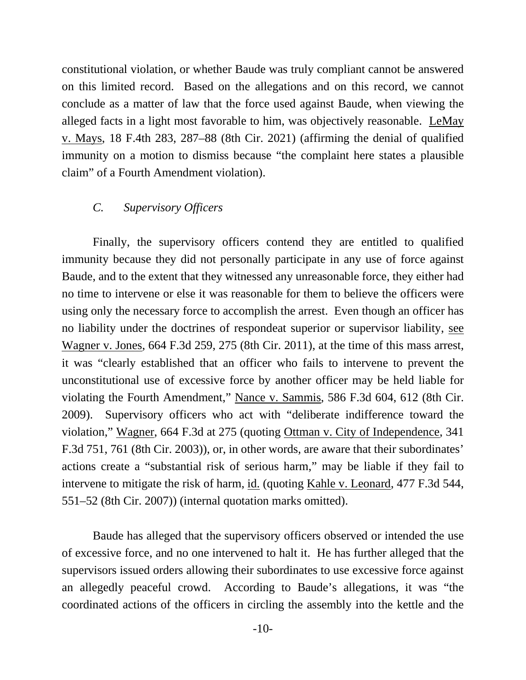constitutional violation, or whether Baude was truly compliant cannot be answered on this limited record. Based on the allegations and on this record, we cannot conclude as a matter of law that the force used against Baude, when viewing the alleged facts in a light most favorable to him, was objectively reasonable. LeMay v. Mays, 18 F.4th 283, 287–88 (8th Cir. 2021) (affirming the denial of qualified immunity on a motion to dismiss because "the complaint here states a plausible claim" of a Fourth Amendment violation).

#### *C. Supervisory Officers*

Finally, the supervisory officers contend they are entitled to qualified immunity because they did not personally participate in any use of force against Baude, and to the extent that they witnessed any unreasonable force, they either had no time to intervene or else it was reasonable for them to believe the officers were using only the necessary force to accomplish the arrest. Even though an officer has no liability under the doctrines of respondeat superior or supervisor liability, see Wagner v. Jones, 664 F.3d 259, 275 (8th Cir. 2011), at the time of this mass arrest, it was "clearly established that an officer who fails to intervene to prevent the unconstitutional use of excessive force by another officer may be held liable for violating the Fourth Amendment," Nance v. Sammis, 586 F.3d 604, 612 (8th Cir. 2009). Supervisory officers who act with "deliberate indifference toward the violation," Wagner, 664 F.3d at 275 (quoting Ottman v. City of Independence, 341 F.3d 751, 761 (8th Cir. 2003)), or, in other words, are aware that their subordinates' actions create a "substantial risk of serious harm," may be liable if they fail to intervene to mitigate the risk of harm, id. (quoting Kahle v. Leonard, 477 F.3d 544, 551–52 (8th Cir. 2007)) (internal quotation marks omitted).

Baude has alleged that the supervisory officers observed or intended the use of excessive force, and no one intervened to halt it. He has further alleged that the supervisors issued orders allowing their subordinates to use excessive force against an allegedly peaceful crowd. According to Baude's allegations, it was "the coordinated actions of the officers in circling the assembly into the kettle and the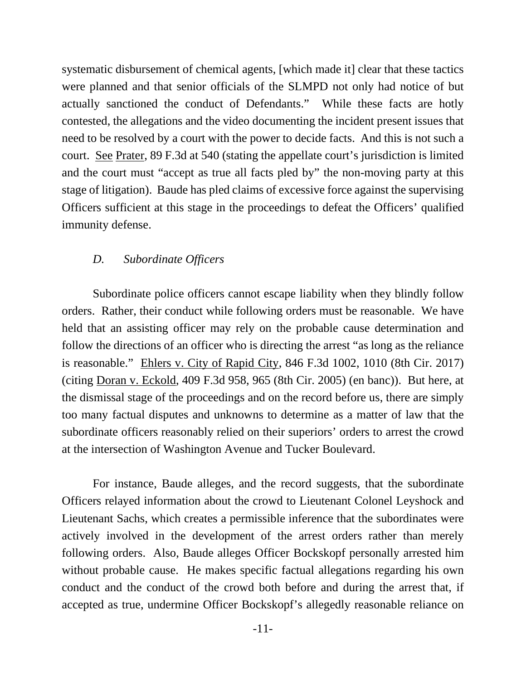systematic disbursement of chemical agents, [which made it] clear that these tactics were planned and that senior officials of the SLMPD not only had notice of but actually sanctioned the conduct of Defendants." While these facts are hotly contested, the allegations and the video documenting the incident present issues that need to be resolved by a court with the power to decide facts. And this is not such a court. See Prater, 89 F.3d at 540 (stating the appellate court's jurisdiction is limited and the court must "accept as true all facts pled by" the non-moving party at this stage of litigation). Baude has pled claims of excessive force against the supervising Officers sufficient at this stage in the proceedings to defeat the Officers' qualified immunity defense.

#### *D. Subordinate Officers*

 Subordinate police officers cannot escape liability when they blindly follow orders. Rather, their conduct while following orders must be reasonable. We have held that an assisting officer may rely on the probable cause determination and follow the directions of an officer who is directing the arrest "as long as the reliance is reasonable." Ehlers v. City of Rapid City, 846 F.3d 1002, 1010 (8th Cir. 2017) (citing Doran v. Eckold, 409 F.3d 958, 965 (8th Cir. 2005) (en banc)). But here, at the dismissal stage of the proceedings and on the record before us, there are simply too many factual disputes and unknowns to determine as a matter of law that the subordinate officers reasonably relied on their superiors' orders to arrest the crowd at the intersection of Washington Avenue and Tucker Boulevard.

For instance, Baude alleges, and the record suggests, that the subordinate Officers relayed information about the crowd to Lieutenant Colonel Leyshock and Lieutenant Sachs, which creates a permissible inference that the subordinates were actively involved in the development of the arrest orders rather than merely following orders. Also, Baude alleges Officer Bockskopf personally arrested him without probable cause. He makes specific factual allegations regarding his own conduct and the conduct of the crowd both before and during the arrest that, if accepted as true, undermine Officer Bockskopf's allegedly reasonable reliance on